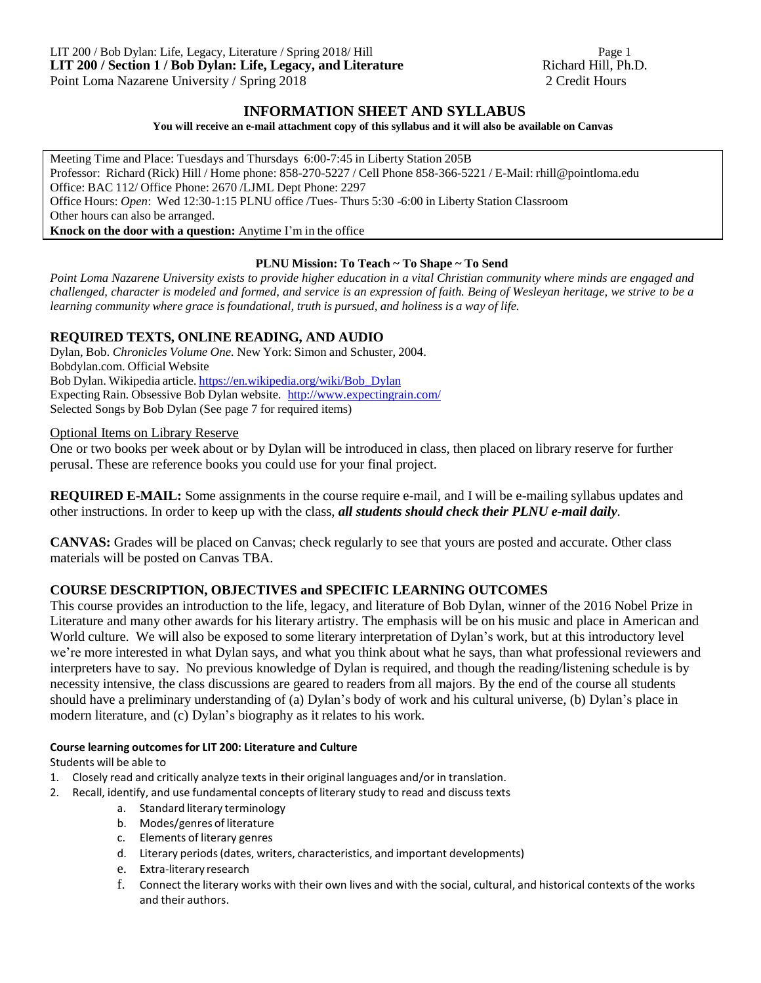### **INFORMATION SHEET AND SYLLABUS**

#### **You will receive an e-mail attachment copy of this syllabus and it will also be available on Canvas**

Meeting Time and Place: Tuesdays and Thursdays 6:00-7:45 in Liberty Station 205B Professor: Richard (Rick) Hill / Home phone: 858-270-5227 / Cell Phone 858-366-5221 / E-Mail: [rhill@pointloma.edu](mailto:rhill@pointloma.edu) Office: BAC 112/ Office Phone: 2670 /LJML Dept Phone: 2297 Office Hours: *Open*: Wed 12:30-1:15 PLNU office /Tues- Thurs 5:30 -6:00 in Liberty Station Classroom Other hours can also be arranged. **Knock on the door with a question:** Anytime I'm in the office

#### **PLNU Mission: To Teach ~ To Shape ~ To Send**

Point Loma Nazarene University exists to provide higher education in a vital Christian community where minds are engaged and challenged, character is modeled and formed, and service is an expression of faith. Being of Wesleyan heritage, we strive to be a *learning community where grace is foundational, truth is pursued, and holiness is a way of life.*

### **REQUIRED TEXTS, ONLINE READING, AND AUDIO**

Dylan, Bob. *Chronicles Volume One.* New York: Simon and Schuster, 2004. Bobdylan.com. Official Website Bob Dylan. Wikipedia article. [https://en.wikipedia.org/wiki/Bob\\_Dylan](https://en.wikipedia.org/wiki/Bob_Dylan) Expecting Rain. Obsessive Bob Dylan website. <http://www.expectingrain.com/> Selected Songs by Bob Dylan (See page 7 for required items)

Optional Items on Library Reserve

One or two books per week about or by Dylan will be introduced in class, then placed on library reserve for further perusal. These are reference books you could use for your final project.

**REQUIRED E-MAIL:** Some assignments in the course require e-mail, and I will be e-mailing syllabus updates and other instructions. In order to keep up with the class, *all students should check their PLNU e-mail daily*.

**CANVAS:** Grades will be placed on Canvas; check regularly to see that yours are posted and accurate. Other class materials will be posted on Canvas TBA.

## **COURSE DESCRIPTION, OBJECTIVES and SPECIFIC LEARNING OUTCOMES**

This course provides an introduction to the life, legacy, and literature of Bob Dylan, winner of the 2016 Nobel Prize in Literature and many other awards for his literary artistry. The emphasis will be on his music and place in American and World culture. We will also be exposed to some literary interpretation of Dylan's work, but at this introductory level we're more interested in what Dylan says, and what you think about what he says, than what professional reviewers and interpreters have to say. No previous knowledge of Dylan is required, and though the reading/listening schedule is by necessity intensive, the class discussions are geared to readers from all majors. By the end of the course all students should have a preliminary understanding of (a) Dylan's body of work and his cultural universe, (b) Dylan's place in modern literature, and (c) Dylan's biography as it relates to his work.

#### **Course learning outcomesfor LIT 200: Literature and Culture**

Students will be able to

- 1. Closely read and critically analyze texts in their original languages and/or in translation.
- 2. Recall, identify, and use fundamental concepts of literary study to read and discusstexts
	- a. Standard literary terminology
	- b. Modes/genres of literature
	- c. Elements of literary genres
	- d. Literary periods(dates, writers, characteristics, and important developments)
	- e. Extra-literary research
	- f. Connect the literary works with their own lives and with the social, cultural, and historical contexts of the works and their authors.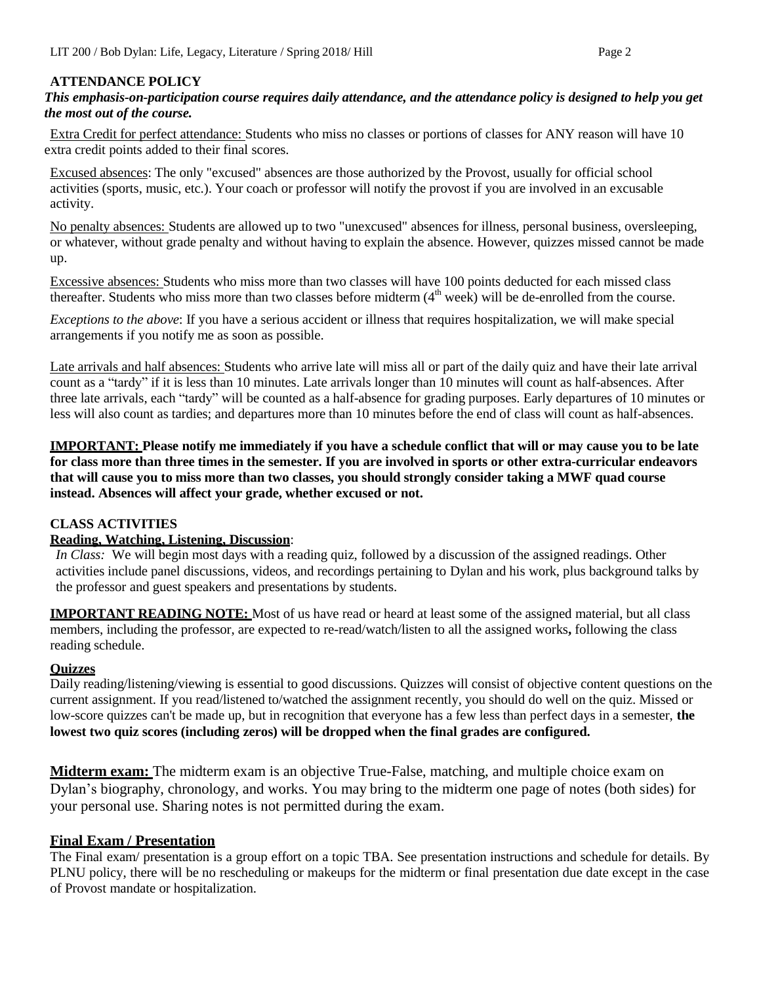### **ATTENDANCE POLICY**

*This emphasis-on-participation course requires daily attendance, and the attendance policy is designed to help you get the most out of the course.*

Extra Credit for perfect attendance: Students who miss no classes or portions of classes for ANY reason will have 10 extra credit points added to their final scores.

Excused absences: The only "excused" absences are those authorized by the Provost, usually for official school activities (sports, music, etc.). Your coach or professor will notify the provost if you are involved in an excusable activity.

No penalty absences: Students are allowed up to two "unexcused" absences for illness, personal business, oversleeping, or whatever, without grade penalty and without having to explain the absence. However, quizzes missed cannot be made up.

Excessive absences: Students who miss more than two classes will have 100 points deducted for each missed class thereafter. Students who miss more than two classes before midterm  $(4<sup>th</sup> week)$  will be de-enrolled from the course.

*Exceptions to the above*: If you have a serious accident or illness that requires hospitalization, we will make special arrangements if you notify me as soon as possible.

Late arrivals and half absences: Students who arrive late will miss all or part of the daily quiz and have their late arrival count as a "tardy" if it is less than 10 minutes. Late arrivals longer than 10 minutes will count as half-absences. After three late arrivals, each "tardy" will be counted as a half-absence for grading purposes. Early departures of 10 minutes or less will also count as tardies; and departures more than 10 minutes before the end of class will count as half-absences.

**IMPORTANT: Please notify me immediately if you have a schedule conflict that will or may cause you to be late for class more than three times in the semester. If you are involved in sports or other extra-curricular endeavors** that will cause you to miss more than two classes, you should strongly consider taking a MWF quad course **instead. Absences will affect your grade, whether excused or not.**

## **CLASS ACTIVITIES**

### **Reading, Watching, Listening, Discussion**:

*In Class:* We will begin most days with a reading quiz, followed by a discussion of the assigned readings. Other activities include panel discussions, videos, and recordings pertaining to Dylan and his work, plus background talks by the professor and guest speakers and presentations by students.

**IMPORTANT READING NOTE:** Most of us have read or heard at least some of the assigned material, but all class members, including the professor, are expected to re-read/watch/listen to all the assigned works**,** following the class reading schedule.

### **Quizzes**

Daily reading/listening/viewing is essential to good discussions. Quizzes will consist of objective content questions on the current assignment. If you read/listened to/watched the assignment recently, you should do well on the quiz. Missed or low-score quizzes can't be made up, but in recognition that everyone has a few less than perfect days in a semester, **the lowest two quiz scores (including zeros) will be dropped when the final grades are configured.**

**Midterm exam:** The midterm exam is an objective True-False, matching, and multiple choice exam on Dylan's biography, chronology, and works. You may bring to the midterm one page of notes (both sides) for your personal use. Sharing notes is not permitted during the exam.

## **Final Exam / Presentation**

The Final exam/ presentation is a group effort on a topic TBA. See presentation instructions and schedule for details. By PLNU policy, there will be no rescheduling or makeups for the midterm or final presentation due date except in the case of Provost mandate or hospitalization.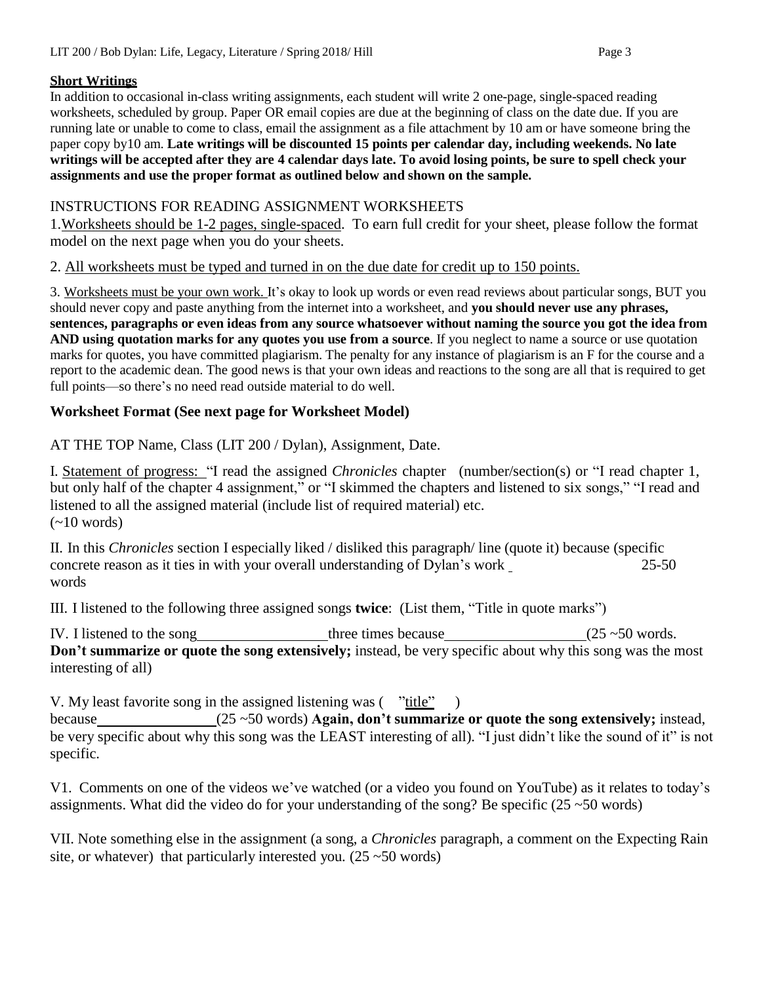## **Short Writings**

In addition to occasional in-class writing assignments, each student will write 2 one-page, single-spaced reading worksheets, scheduled by group. Paper OR email copies are due at the beginning of class on the date due. If you are running late or unable to come to class, email the assignment as a file attachment by 10 am or have someone bring the paper copy by10 am. **Late writings will be discounted 15 points per calendar day, including weekends. No late** writings will be accepted after they are 4 calendar days late. To avoid losing points, be sure to spell check your **assignments and use the proper format as outlined below and shown on the sample.**

# INSTRUCTIONS FOR READING ASSIGNMENT WORKSHEETS

1.Worksheets should be 1-2 pages, single-spaced. To earn full credit for your sheet, please follow the format model on the next page when you do your sheets.

## 2. All worksheets must be typed and turned in on the due date for credit up to 150 points.

3. Worksheets must be your own work. It's okay to look up words or even read reviews about particular songs, BUT you should never copy and paste anything from the internet into a worksheet, and **you should never use any phrases, sentences, paragraphs or even ideas from any source whatsoever without naming the source you got the idea from AND using quotation marks for any quotes you use from a source**. If you neglect to name a source or use quotation marks for quotes, you have committed plagiarism. The penalty for any instance of plagiarism is an F for the course and a report to the academic dean. The good news is that your own ideas and reactions to the song are all that is required to get full points—so there's no need read outside material to do well.

# **Worksheet Format (See next page for Worksheet Model)**

AT THE TOP Name, Class (LIT 200 / Dylan), Assignment, Date.

I. Statement of progress: "I read the assigned *Chronicles* chapter (number/section(s) or "I read chapter 1, but only half of the chapter 4 assignment," or "I skimmed the chapters and listened to six songs," "I read and listened to all the assigned material (include list of required material) etc.  $(-10$  words)

II. In this *Chronicles* section I especially liked / disliked this paragraph/ line (quote it) because (specific concrete reason as it ties in with your overall understanding of Dylan's work words 25-50

III. I listened to the following three assigned songs **twice**: (List them, "Title in quote marks")

IV. I listened to the song three times because  $(25 \sim 50 \text{ words})$ . **Don't summarize or quote the song extensively;** instead, be very specific about why this song was the most interesting of all)

V. My least favorite song in the assigned listening was  $(\overline{\text{"title''}})$ 

because (25 ~50 words) **Again, don't summarize or quote the song extensively;** instead, be very specific about why this song was the LEAST interesting of all). "I just didn't like the sound of it" is not specific.

V1. Comments on one of the videos we've watched (or a video you found on YouTube) as it relates to today's assignments. What did the video do for your understanding of the song? Be specific  $(25 \sim 50 \text{ words})$ 

VII. Note something else in the assignment (a song, a *Chronicles* paragraph, a comment on the Expecting Rain site, or whatever) that particularly interested you.  $(25 \sim 50 \text{ words})$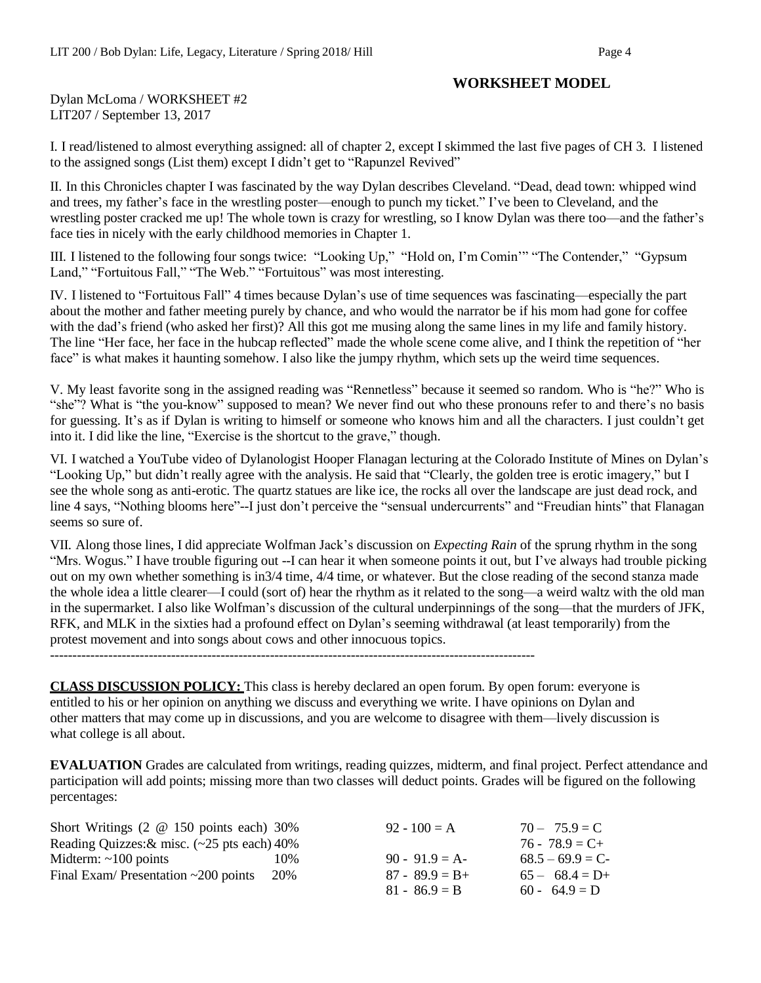## **WORKSHEET MODEL**

Dylan McLoma / WORKSHEET #2 LIT207 / September 13, 2017

I. I read/listened to almost everything assigned: all of chapter 2, except I skimmed the last five pages of CH 3. I listened to the assigned songs (List them) except I didn't get to "Rapunzel Revived"

II. In this Chronicles chapter I was fascinated by the way Dylan describes Cleveland. "Dead, dead town: whipped wind and trees, my father's face in the wrestling poster—enough to punch my ticket." I've been to Cleveland, and the wrestling poster cracked me up! The whole town is crazy for wrestling, so I know Dylan was there too—and the father's face ties in nicely with the early childhood memories in Chapter 1.

III. I listened to the following four songs twice: "Looking Up," "Hold on, I'm Comin'" "The Contender," "Gypsum Land," "Fortuitous Fall," "The Web." "Fortuitous" was most interesting.

IV. I listened to "Fortuitous Fall" 4 times because Dylan's use of time sequences was fascinating—especially the part about the mother and father meeting purely by chance, and who would the narrator be if his mom had gone for coffee with the dad's friend (who asked her first)? All this got me musing along the same lines in my life and family history. The line "Her face, her face in the hubcap reflected" made the whole scene come alive, and I think the repetition of "her face" is what makes it haunting somehow. I also like the jumpy rhythm, which sets up the weird time sequences.

V. My least favorite song in the assigned reading was "Rennetless" because it seemed so random. Who is "he?" Who is "she"? What is "the you-know" supposed to mean? We never find out who these pronouns refer to and there's no basis for guessing. It's as if Dylan is writing to himself or someone who knows him and all the characters. I just couldn't get into it. I did like the line, "Exercise is the shortcut to the grave," though.

VI. I watched a YouTube video of Dylanologist Hooper Flanagan lecturing at the Colorado Institute of Mines on Dylan's "Looking Up," but didn't really agree with the analysis. He said that "Clearly, the golden tree is erotic imagery," but I see the whole song as anti-erotic. The quartz statues are like ice, the rocks all over the landscape are just dead rock, and line 4 says, "Nothing blooms here"--I just don't perceive the "sensual undercurrents" and "Freudian hints" that Flanagan seems so sure of.

VII. Along those lines, I did appreciate Wolfman Jack's discussion on *Expecting Rain* of the sprung rhythm in the song "Mrs. Wogus." I have trouble figuring out --I can hear it when someone points it out, but I've always had trouble picking out on my own whether something is in3/4 time, 4/4 time, or whatever. But the close reading of the second stanza made the whole idea a little clearer—I could (sort of) hear the rhythm as it related to the song—a weird waltz with the old man in the supermarket. I also like Wolfman's discussion of the cultural underpinnings of the song—that the murders of JFK, RFK, and MLK in the sixties had a profound effect on Dylan's seeming withdrawal (at least temporarily) from the protest movement and into songs about cows and other innocuous topics.

------------------------------------------------------------------------------------------------------------

**CLASS DISCUSSION POLICY:** This class is hereby declared an open forum. By open forum: everyone is entitled to his or her opinion on anything we discuss and everything we write. I have opinions on Dylan and other matters that may come up in discussions, and you are welcome to disagree with them—lively discussion is what college is all about.

**EVALUATION** Grades are calculated from writings, reading quizzes, midterm, and final project. Perfect attendance and participation will add points; missing more than two classes will deduct points. Grades will be figured on the following percentages:

| Short Writings $(2 \t@ 150 \t points each) 30\%$ |     | $92 - 100 = A$    | $70 - 75.9 = C$   |
|--------------------------------------------------|-----|-------------------|-------------------|
| Reading Quizzes: $&$ misc. (~25 pts each) 40%    |     |                   | $76 - 78.9 = C +$ |
| Midterm: $\sim$ 100 points                       | 10% | $90 - 91.9 = A$   | $68.5 - 69.9 = C$ |
| Final Exam/ Presentation $\sim$ 200 points       | 20% | $87 - 89.9 = B +$ | $65 - 68.4 = D+$  |
|                                                  |     | $81 - 86.9 = B$   | $60 - 64.9 = D$   |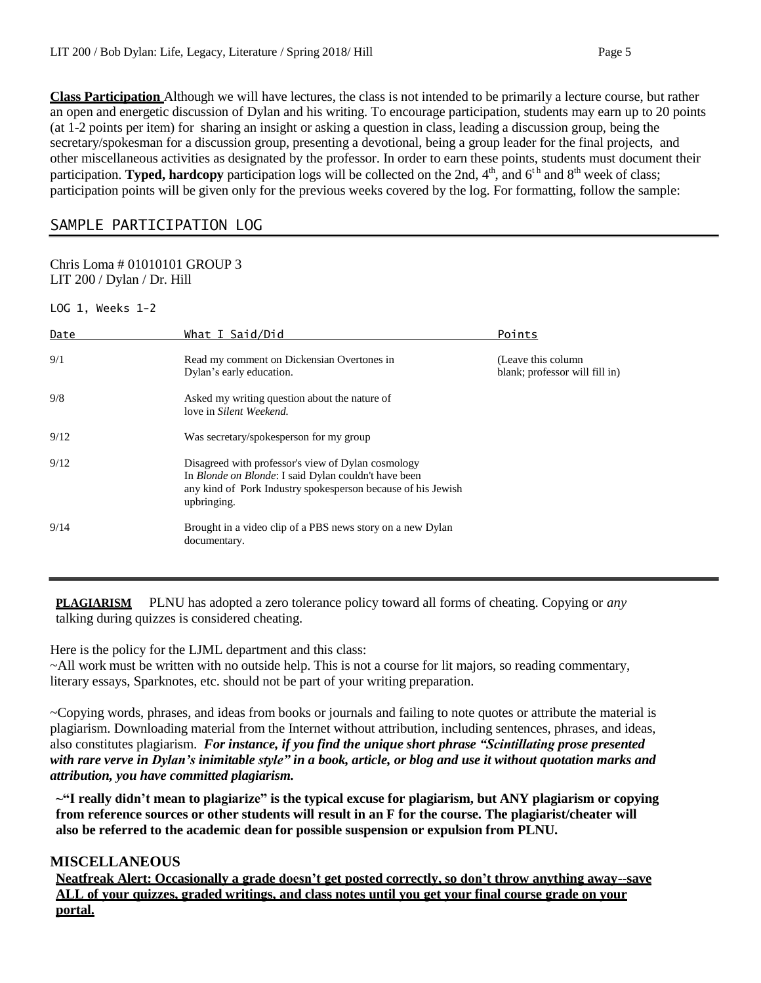**Class Participation** Although we will have lectures, the class is not intended to be primarily a lecture course, but rather an open and energetic discussion of Dylan and his writing. To encourage participation, students may earn up to 20 points (at 1-2 points per item) for sharing an insight or asking a question in class, leading a discussion group, being the secretary/spokesman for a discussion group, presenting a devotional, being a group leader for the final projects, and other miscellaneous activities as designated by the professor. In order to earn these points, students must document their participation. **Typed, hardcopy** participation logs will be collected on the 2nd,  $4<sup>th</sup>$ , and  $6<sup>th</sup>$  and  $8<sup>th</sup>$  week of class; participation points will be given only for the previous weeks covered by the log. For formatting, follow the sample:

# SAMPLE PARTICIPATION LOG

#### Chris Loma # 01010101 GROUP 3 LIT 200 / Dylan / Dr. Hill

LOG 1, Weeks 1-2

| Date | What I Said/Did                                                                                                                                                                                   | Points                                               |
|------|---------------------------------------------------------------------------------------------------------------------------------------------------------------------------------------------------|------------------------------------------------------|
| 9/1  | Read my comment on Dickensian Overtones in<br>Dylan's early education.                                                                                                                            | (Leave this column<br>blank; professor will fill in) |
| 9/8  | Asked my writing question about the nature of<br>love in Silent Weekend.                                                                                                                          |                                                      |
| 9/12 | Was secretary/spokesperson for my group                                                                                                                                                           |                                                      |
| 9/12 | Disagreed with professor's view of Dylan cosmology<br>In <i>Blonde on Blonde</i> : I said Dylan couldn't have been<br>any kind of Pork Industry spokesperson because of his Jewish<br>upbringing. |                                                      |
| 9/14 | Brought in a video clip of a PBS news story on a new Dylan<br>documentary.                                                                                                                        |                                                      |

**PLAGIARISM** PLNU has adopted a zero tolerance policy toward all forms of cheating. Copying or *any* talking during quizzes is considered cheating.

Here is the policy for the LJML department and this class:

~All work must be written with no outside help. This is not a course for lit majors, so reading commentary, literary essays, Sparknotes, etc. should not be part of your writing preparation.

~Copying words, phrases, and ideas from books or journals and failing to note quotes or attribute the material is plagiarism. Downloading material from the Internet without attribution, including sentences, phrases, and ideas, also constitutes plagiarism. *For instance, if you find the unique short phrase "Scintillating prose presented* with rare verve in Dylan's inimitable style" in a book, article, or blog and use it without quotation marks and *attribution, you have committed plagiarism.*

**~"I really didn't mean to plagiarize" is the typical excuse for plagiarism, but ANY plagiarism or copying from reference sources or other students will result in an F for the course. The plagiarist/cheater will also be referred to the academic dean for possible suspension or expulsion from PLNU.**

### **MISCELLANEOUS**

**Neatfreak Alert: Occasionally a grade doesn't get posted correctly, so don't throw anything away--save ALL of your quizzes, graded writings, and class notes until you get your final course grade on your portal.**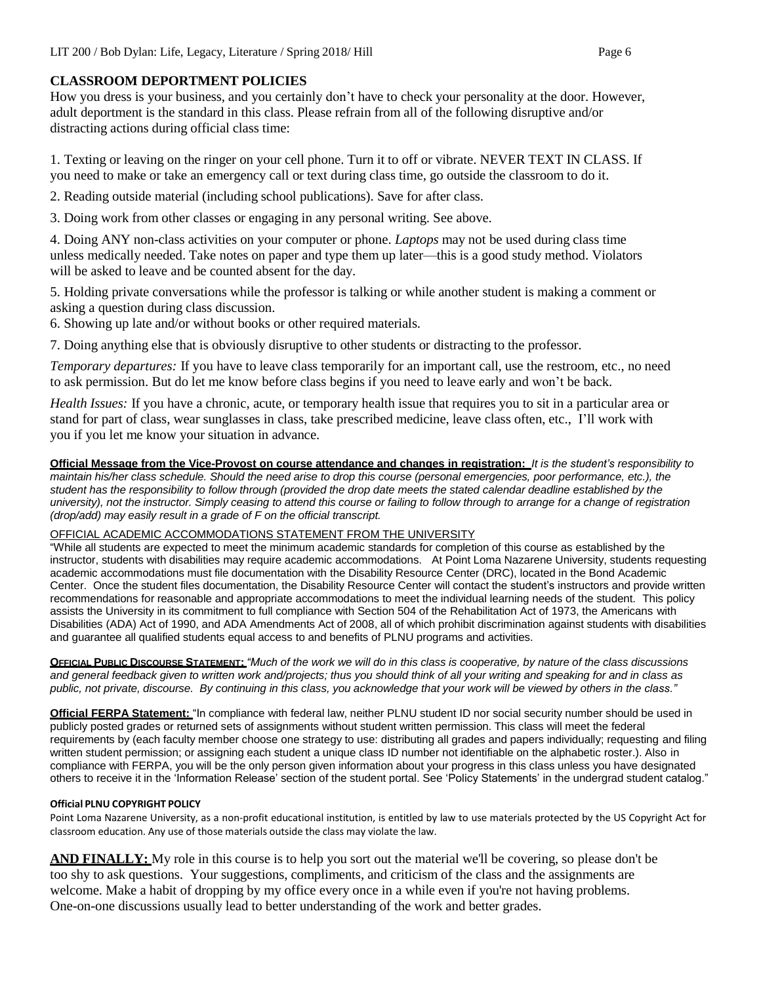# **CLASSROOM DEPORTMENT POLICIES**

How you dress is your business, and you certainly don't have to check your personality at the door. However, adult deportment is the standard in this class. Please refrain from all of the following disruptive and/or distracting actions during official class time:

1. Texting or leaving on the ringer on your cell phone. Turn it to off or vibrate. NEVER TEXT IN CLASS. If you need to make or take an emergency call or text during class time, go outside the classroom to do it.

2. Reading outside material (including school publications). Save for after class.

3. Doing work from other classes or engaging in any personal writing. See above.

4. Doing ANY non-class activities on your computer or phone. *Laptops* may not be used during class time unless medically needed. Take notes on paper and type them up later—this is a good study method. Violators will be asked to leave and be counted absent for the day.

5. Holding private conversations while the professor is talking or while another student is making a comment or asking a question during class discussion.

6. Showing up late and/or without books or other required materials.

7. Doing anything else that is obviously disruptive to other students or distracting to the professor.

*Temporary departures:* If you have to leave class temporarily for an important call, use the restroom, etc., no need to ask permission. But do let me know before class begins if you need to leave early and won't be back.

*Health Issues:* If you have a chronic, acute, or temporary health issue that requires you to sit in a particular area or stand for part of class, wear sunglasses in class, take prescribed medicine, leave class often, etc., I'll work with you if you let me know your situation in advance.

**Official Message from the Vice-Provost on course attendance and changes in registration:** *It is the student's responsibility to* maintain his/her class schedule. Should the need arise to drop this course (personal emergencies, poor performance, etc.), the student has the responsibility to follow through (provided the drop date meets the stated calendar deadline established by the university), not the instructor. Simply ceasing to attend this course or failing to follow through to arrange for a change of registration *(drop/add) may easily result in a grade of F on the official transcript.*

### OFFICIAL ACADEMIC ACCOMMODATIONS STATEMENT FROM THE UNIVERSITY

"While all students are expected to meet the minimum academic standards for completion of this course as established by the instructor, students with disabilities may require academic accommodations. At Point Loma Nazarene University, students requesting academic accommodations must file documentation with the Disability Resource Center (DRC), located in the Bond Academic Center. Once the student files documentation, the Disability Resource Center will contact the student's instructors and provide written recommendations for reasonable and appropriate accommodations to meet the individual learning needs of the student. This policy assists the University in its commitment to full compliance with Section 504 of the Rehabilitation Act of 1973, the Americans with Disabilities (ADA) Act of 1990, and ADA Amendments Act of 2008, all of which prohibit discrimination against students with disabilities and guarantee all qualified students equal access to and benefits of PLNU programs and activities.

**OFFICIAL PUBLIC DISCOURSE STATEMENT:** "Much of the work we will do in this class is cooperative, by nature of the class discussions and general feedback given to written work and/projects; thus you should think of all your writing and speaking for and in class as public, not private, discourse. By continuing in this class, you acknowledge that your work will be viewed by others in the class."

**Official FERPA Statement:** "In compliance with federal law, neither PLNU student ID nor social security number should be used in publicly posted grades or returned sets of assignments without student written permission. This class will meet the federal requirements by (each faculty member choose one strategy to use: distributing all grades and papers individually; requesting and filing written student permission; or assigning each student a unique class ID number not identifiable on the alphabetic roster.). Also in compliance with FERPA, you will be the only person given information about your progress in this class unless you have designated others to receive it in the 'Information Release' section of the student portal. See 'Policy Statements' in the undergrad student catalog."

#### **Official PLNU COPYRIGHT POLICY**

Point Loma Nazarene University, as a non-profit educational institution, is entitled by law to use materials protected by the US Copyright Act for classroom education. Any use of those materials outside the class may violate the law.

**AND FINALLY:** My role in this course is to help you sort out the material we'll be covering, so please don't be too shy to ask questions. Your suggestions, compliments, and criticism of the class and the assignments are welcome. Make a habit of dropping by my office every once in a while even if you're not having problems. One-on-one discussions usually lead to better understanding of the work and better grades.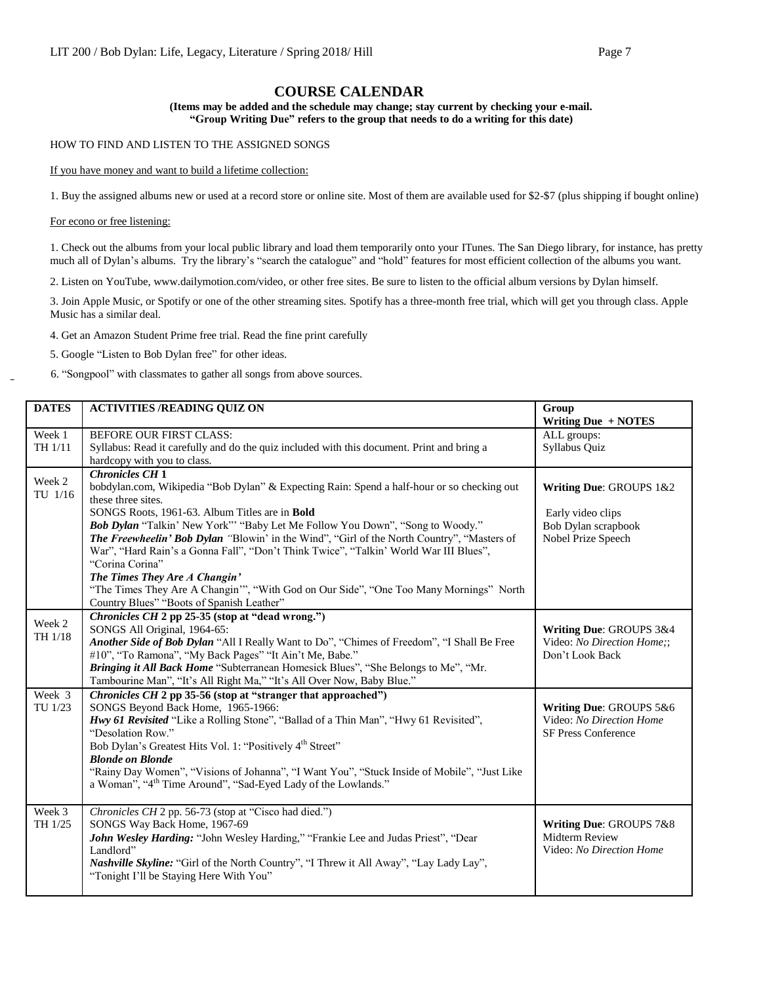### **COURSE CALENDAR**

**(Items may be added and the schedule may change; stay current by checking your e-mail. "Group Writing Due" refers to the group that needs to do a writing for this date)**

HOW TO FIND AND LISTEN TO THE ASSIGNED SONGS

If you have money and want to build a lifetime collection:

1. Buy the assigned albums new or used at a record store or online site. Most of them are available used for \$2-\$7 (plus shipping if bought online)

For econo or free listening:

1. Check out the albums from your local public library and load them temporarily onto your ITunes. The San Diego library, for instance, has pretty much all of Dylan's albums. Try the library's "search the catalogue" and "hold" features for most efficient collection of the albums you want.

2. Listen on YouTube, [www.dailymotion.com/video,](http://www.dailymotion.com/video) or other free sites. Be sure to listen to the official album versions by Dylan himself.

3. Join Apple Music, or Spotify or one of the other streaming sites. Spotify has a three-month free trial, which will get you through class. Apple Music has a similar deal.

4. Get an Amazon Student Prime free trial. Read the fine print carefully

5. Google "Listen to Bob Dylan free" for other ideas.

6. "Songpool" with classmates to gather all songs from above sources.

| <b>DATES</b>      | <b>ACTIVITIES /READING QUIZ ON</b>                                                                                     | Group<br>Writing Due + NOTES |
|-------------------|------------------------------------------------------------------------------------------------------------------------|------------------------------|
| Week 1            | <b>BEFORE OUR FIRST CLASS:</b>                                                                                         | ALL groups:                  |
| TH 1/11           | Syllabus: Read it carefully and do the quiz included with this document. Print and bring a                             | Syllabus Quiz                |
|                   | hardcopy with you to class.                                                                                            |                              |
| Week 2            | <b>Chronicles CH 1</b>                                                                                                 |                              |
| TU 1/16           | bobdylan.com, Wikipedia "Bob Dylan" & Expecting Rain: Spend a half-hour or so checking out<br>these three sites.       | Writing Due: GROUPS 1&2      |
|                   | SONGS Roots, 1961-63. Album Titles are in Bold                                                                         | Early video clips            |
|                   | Bob Dylan "Talkin' New York"" "Baby Let Me Follow You Down", "Song to Woody."                                          | Bob Dylan scrapbook          |
|                   | The Freewheelin' Bob Dylan "Blowin' in the Wind", "Girl of the North Country", "Masters of                             | Nobel Prize Speech           |
|                   | War", "Hard Rain's a Gonna Fall", "Don't Think Twice", "Talkin' World War III Blues",<br>"Corina Corina"               |                              |
|                   | The Times They Are A Changin'                                                                                          |                              |
|                   | "The Times They Are A Changin"", "With God on Our Side", "One Too Many Mornings" North                                 |                              |
|                   | Country Blues" "Boots of Spanish Leather"                                                                              |                              |
|                   | Chronicles CH 2 pp 25-35 (stop at "dead wrong.")                                                                       |                              |
| Week 2<br>TH 1/18 | SONGS All Original, 1964-65:                                                                                           | Writing Due: GROUPS 3&4      |
|                   | Another Side of Bob Dylan "All I Really Want to Do", "Chimes of Freedom", "I Shall Be Free                             | Video: No Direction Home;;   |
|                   | #10", "To Ramona", "My Back Pages" "It Ain't Me, Babe."                                                                | Don't Look Back              |
|                   | Bringing it All Back Home "Subterranean Homesick Blues", "She Belongs to Me", "Mr.                                     |                              |
|                   | Tambourine Man", "It's All Right Ma," "It's All Over Now, Baby Blue."                                                  |                              |
| Week 3            | Chronicles CH 2 pp 35-56 (stop at "stranger that approached")                                                          |                              |
| TU 1/23           | SONGS Beyond Back Home, 1965-1966:                                                                                     | Writing Due: GROUPS 5&6      |
|                   | Hwy 61 Revisited "Like a Rolling Stone", "Ballad of a Thin Man", "Hwy 61 Revisited",                                   | Video: No Direction Home     |
|                   | "Desolation Row."                                                                                                      | SF Press Conference          |
|                   | Bob Dylan's Greatest Hits Vol. 1: "Positively 4 <sup>th</sup> Street"                                                  |                              |
|                   | <b>Blonde on Blonde</b><br>"Rainy Day Women", "Visions of Johanna", "I Want You", "Stuck Inside of Mobile", "Just Like |                              |
|                   | a Woman", "4 <sup>th</sup> Time Around", "Sad-Eyed Lady of the Lowlands."                                              |                              |
|                   |                                                                                                                        |                              |
| Week 3            | Chronicles CH 2 pp. 56-73 (stop at "Cisco had died.")                                                                  |                              |
| TH 1/25           | SONGS Way Back Home, 1967-69                                                                                           | Writing Due: GROUPS 7&8      |
|                   | John Wesley Harding: "John Wesley Harding," "Frankie Lee and Judas Priest", "Dear                                      | Midterm Review               |
|                   | Landlord"                                                                                                              | Video: No Direction Home     |
|                   | <i>Nashville Skyline:</i> "Girl of the North Country", "I Threw it All Away", "Lay Lady Lay",                          |                              |
|                   | "Tonight I'll be Staying Here With You"                                                                                |                              |
|                   |                                                                                                                        |                              |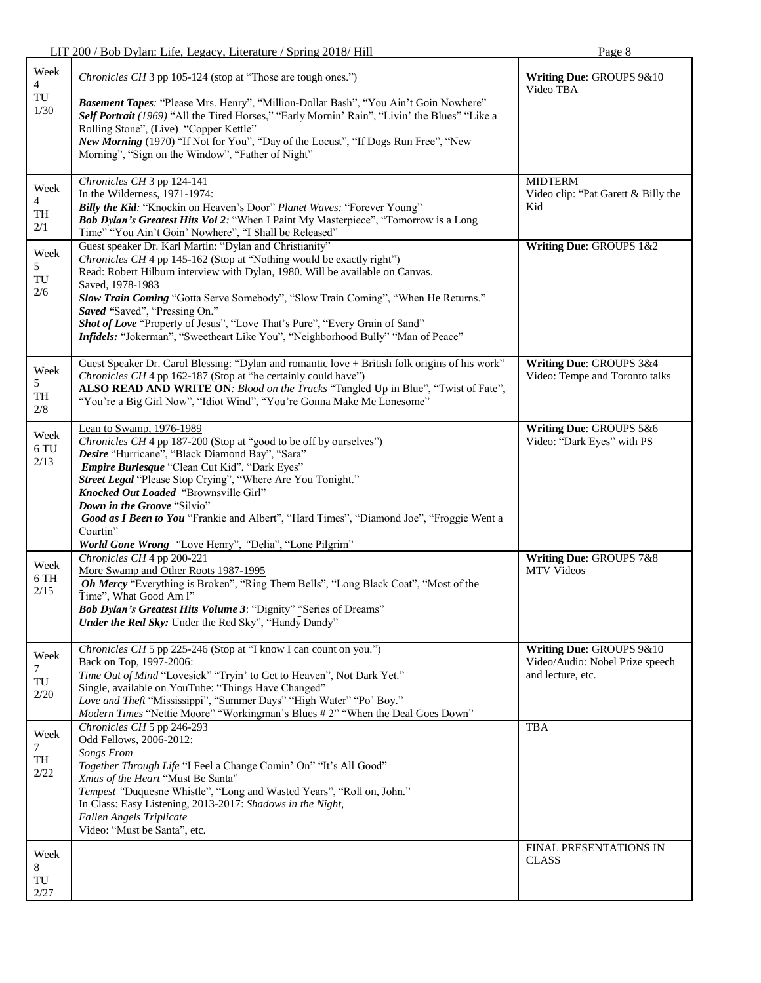|                                       | LIT 200 / Bob Dylan: Life, Legacy, Literature / Spring 2018/ Hill                                                                                                                                                                                                                                                                                                                                                                                                                                                              | Page 8                                                                           |
|---------------------------------------|--------------------------------------------------------------------------------------------------------------------------------------------------------------------------------------------------------------------------------------------------------------------------------------------------------------------------------------------------------------------------------------------------------------------------------------------------------------------------------------------------------------------------------|----------------------------------------------------------------------------------|
| Week<br>4<br>$\mbox{TU}$<br>1/30      | Chronicles CH 3 pp 105-124 (stop at "Those are tough ones.")<br>Basement Tapes: "Please Mrs. Henry", "Million-Dollar Bash", "You Ain't Goin Nowhere"<br>Self Portrait (1969) "All the Tired Horses," "Early Mornin' Rain", "Livin' the Blues" "Like a<br>Rolling Stone", (Live) "Copper Kettle"<br>New Morning (1970) "If Not for You", "Day of the Locust", "If Dogs Run Free", "New<br>Morning", "Sign on the Window", "Father of Night"                                                                                     | Writing Due: GROUPS 9&10<br>Video TBA                                            |
| Week<br>4<br>TH<br>$2/1$              | Chronicles CH 3 pp 124-141<br>In the Wilderness, 1971-1974:<br>Billy the Kid: "Knockin on Heaven's Door" Planet Waves: "Forever Young"<br>Bob Dylan's Greatest Hits Vol 2: "When I Paint My Masterpiece", "Tomorrow is a Long<br>Time" "You Ain't Goin' Nowhere", "I Shall be Released"                                                                                                                                                                                                                                        | <b>MIDTERM</b><br>Video clip: "Pat Garett & Billy the<br>Kid                     |
| Week<br>5<br>TU<br>$2/6$              | Guest speaker Dr. Karl Martin: "Dylan and Christianity"<br>Chronicles CH 4 pp 145-162 (Stop at "Nothing would be exactly right")<br>Read: Robert Hilburn interview with Dylan, 1980. Will be available on Canvas.<br>Saved, 1978-1983<br>Slow Train Coming "Gotta Serve Somebody", "Slow Train Coming", "When He Returns."<br>Saved "Saved", "Pressing On."<br>Shot of Love "Property of Jesus", "Love That's Pure", "Every Grain of Sand"<br>Infidels: "Jokerman", "Sweetheart Like You", "Neighborhood Bully" "Man of Peace" | Writing Due: GROUPS 1&2                                                          |
| Week<br>5<br>TH<br>2/8                | Guest Speaker Dr. Carol Blessing: "Dylan and romantic love + British folk origins of his work"<br>Chronicles CH 4 pp 162-187 (Stop at "he certainly could have")<br>ALSO READ AND WRITE ON: Blood on the Tracks "Tangled Up in Blue", "Twist of Fate",<br>"You're a Big Girl Now", "Idiot Wind", "You're Gonna Make Me Lonesome"                                                                                                                                                                                               | Writing Due: GROUPS 3&4<br>Video: Tempe and Toronto talks                        |
| Week<br>$6\,\mathrm{TU}$<br>2/13      | Lean to Swamp, 1976-1989<br>Chronicles CH 4 pp 187-200 (Stop at "good to be off by ourselves")<br>Desire "Hurricane", "Black Diamond Bay", "Sara"<br>Empire Burlesque "Clean Cut Kid", "Dark Eyes"<br>Street Legal "Please Stop Crying", "Where Are You Tonight."<br>Knocked Out Loaded "Brownsville Girl"<br>Down in the Groove "Silvio"<br>Good as I Been to You "Frankie and Albert", "Hard Times", "Diamond Joe", "Froggie Went a<br>Courtin"<br>World Gone Wrong "Love Henry", "Delia", "Lone Pilgrim"                    | Writing Due: GROUPS 5&6<br>Video: "Dark Eyes" with PS                            |
| Week<br>6 TH<br>2/15                  | Chronicles CH 4 pp 200-221<br>More Swamp and Other Roots 1987-1995<br>Oh Mercy "Everything is Broken", "Ring Them Bells", "Long Black Coat", "Most of the<br>Time", What Good Am I"<br>Bob Dylan's Greatest Hits Volume 3: "Dignity" "Series of Dreams"<br><b>Under the Red Sky:</b> Under the Red Sky", "Handy Dandy"                                                                                                                                                                                                         | Writing Due: GROUPS 7&8<br><b>MTV</b> Videos                                     |
| Week<br>$\tau$<br>$\mbox{TU}$<br>2/20 | Chronicles CH 5 pp 225-246 (Stop at "I know I can count on you.")<br>Back on Top, 1997-2006:<br>Time Out of Mind "Lovesick" "Tryin' to Get to Heaven", Not Dark Yet."<br>Single, available on YouTube: "Things Have Changed"<br>Love and Theft "Mississippi", "Summer Days" "High Water" "Po' Boy."<br>Modern Times "Nettie Moore" "Workingman's Blues #2" "When the Deal Goes Down"                                                                                                                                           | Writing Due: GROUPS 9&10<br>Video/Audio: Nobel Prize speech<br>and lecture, etc. |
| Week<br>7<br>TH<br>2/22               | Chronicles CH 5 pp 246-293<br>Odd Fellows, 2006-2012:<br>Songs From<br>Together Through Life "I Feel a Change Comin' On" "It's All Good"<br>Xmas of the Heart "Must Be Santa"<br>Tempest "Duquesne Whistle", "Long and Wasted Years", "Roll on, John."<br>In Class: Easy Listening, 2013-2017: Shadows in the Night,<br>Fallen Angels Triplicate<br>Video: "Must be Santa", etc.                                                                                                                                               | <b>TBA</b>                                                                       |
| Week<br>8<br>$\mbox{TU}$<br>2/27      |                                                                                                                                                                                                                                                                                                                                                                                                                                                                                                                                | FINAL PRESENTATIONS IN<br><b>CLASS</b>                                           |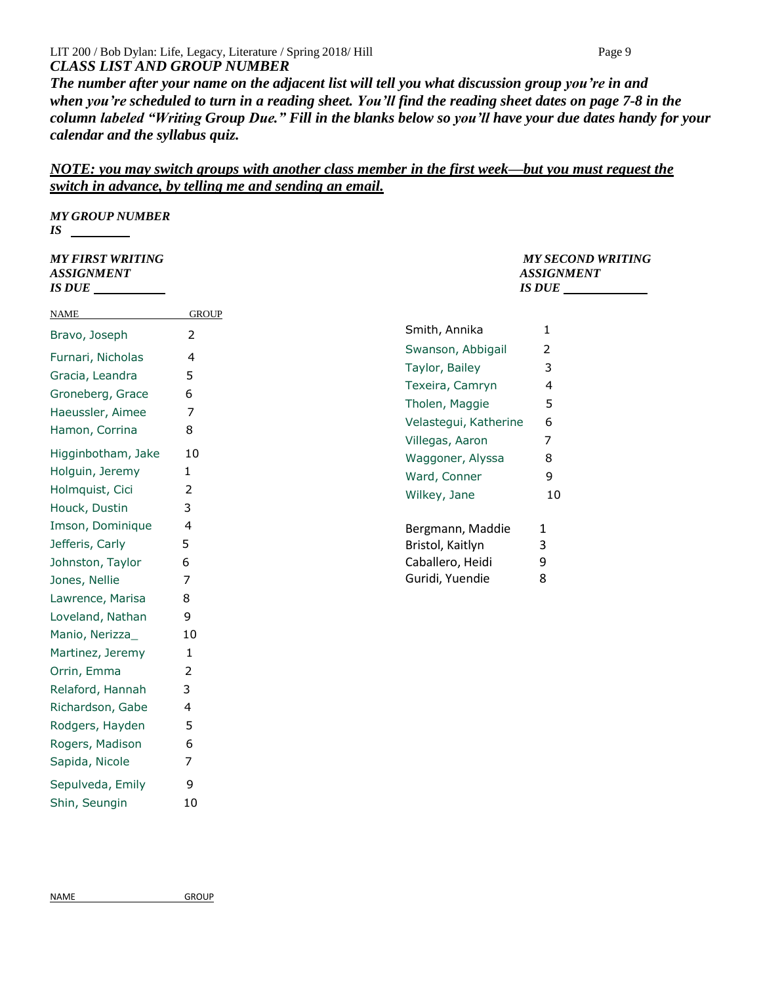#### LIT 200 / Bob Dylan: Life, Legacy, Literature / Spring 2018/ Hill Page 9 *CLASS LIST AND GROUP NUMBER*

*The number after your name on the adjacent list will tell you what discussion group you're in and when you're scheduled to turn in a reading sheet. You'll find the reading sheet dates on page 7-8 in the column labeled "Writing Group Due." Fill in the blanks below so you'll have your due dates handy for your calendar and the syllabus quiz.*

# *NOTE: you may switch groups with another class member in the first week—but you must request the switch in advance, by telling me and sending an email.*

*MY GROUP NUMBER IS* 

| <i><b>MY FIRST WRITING</b></i><br><b>ASSIGNMENT</b><br><b>IS DUE</b> |                |                       | <b>MY SECOND WRITING</b><br><b>ASSIGNMENT</b><br><b>IS DUE</b> |
|----------------------------------------------------------------------|----------------|-----------------------|----------------------------------------------------------------|
| <b>NAME</b>                                                          | <b>GROUP</b>   |                       |                                                                |
| Bravo, Joseph                                                        | $\overline{2}$ | Smith, Annika         | 1                                                              |
| Furnari, Nicholas                                                    | $\overline{4}$ | Swanson, Abbigail     | 2                                                              |
| Gracia, Leandra                                                      | 5              | Taylor, Bailey        | 3                                                              |
| Groneberg, Grace                                                     | 6              | Texeira, Camryn       | 4                                                              |
| Haeussler, Aimee                                                     | 7              | Tholen, Maggie        | 5                                                              |
| Hamon, Corrina                                                       | 8              | Velastegui, Katherine | 6                                                              |
|                                                                      |                | Villegas, Aaron       | 7                                                              |
| Higginbotham, Jake                                                   | 10             | Waggoner, Alyssa      | 8                                                              |
| Holguin, Jeremy                                                      | 1              | Ward, Conner          | 9                                                              |
| Holmquist, Cici                                                      | 2              | Wilkey, Jane          | 10                                                             |
| Houck, Dustin                                                        | 3              |                       |                                                                |
| Imson, Dominique                                                     | 4              | Bergmann, Maddie      | 1                                                              |
| Jefferis, Carly                                                      | 5              | Bristol, Kaitlyn      | 3                                                              |
| Johnston, Taylor                                                     | 6              | Caballero, Heidi      | 9                                                              |
| Jones, Nellie                                                        | 7              | Guridi, Yuendie       | 8                                                              |
| Lawrence, Marisa                                                     | 8              |                       |                                                                |
| Loveland, Nathan                                                     | 9              |                       |                                                                |
| Manio, Nerizza_                                                      | 10             |                       |                                                                |
| Martinez, Jeremy                                                     | 1              |                       |                                                                |
| Orrin, Emma                                                          | 2              |                       |                                                                |
| Relaford, Hannah                                                     | 3              |                       |                                                                |

Richardson, Gabe 4 Rodgers, Hayden 5 Rogers, Madison 6 Sapida, Nicole 7 Sepulveda, Emily 9 Shin, Seungin 10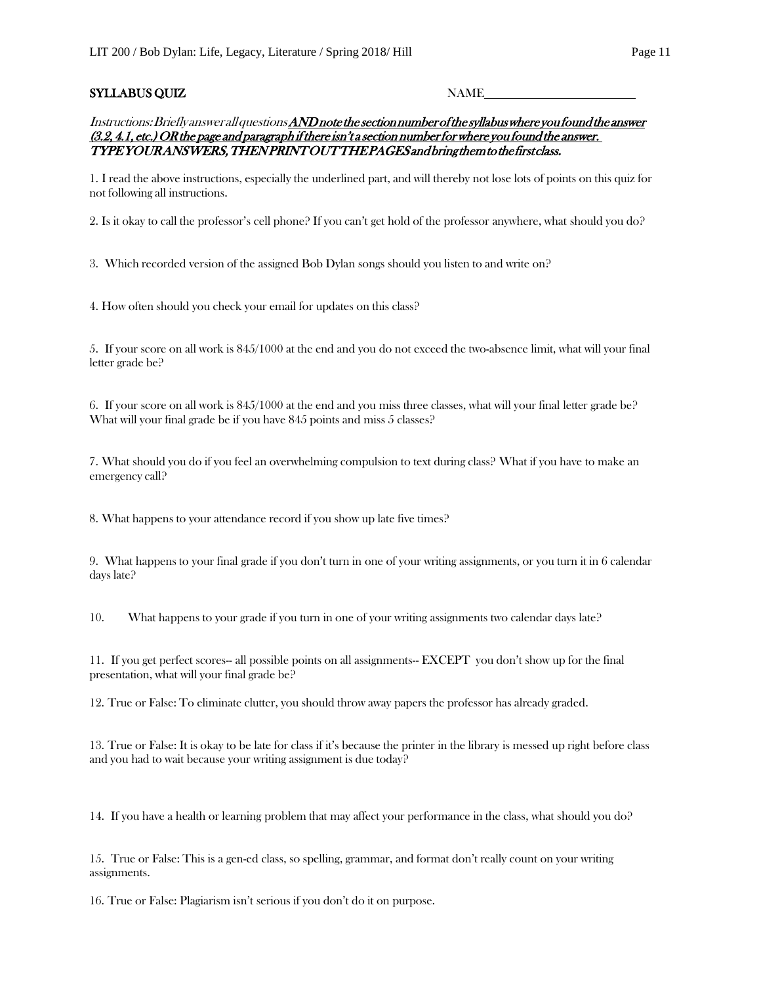#### SYLLABUS QUIZ NAME

Instructions: Brieflyanswerall questions *AND note the section number of the syllabus where you found the answer*  $(3.2, 4.1, etc.)$  OR the page and paragraph if there isn't a section number for where you found the answer. TYPE YOUR ANSWERS, THEN PRINT OUT THE PAGES and bring them to the first class.

1. I read the above instructions, especially the underlined part, and will thereby not lose lots of points on this quiz for not following all instructions.

2. Is it okay to call the professor's cell phone? If you can't get hold of the professor anywhere, what should you do?

3. Which recorded version of the assigned Bob Dylan songs should you listen to and write on?

4. How often should you check your email for updates on this class?

5. If your score on all work is 845/1000 at the end and you do not exceed the two-absence limit, what will your final letter grade be?

6. If your score on all work is 845/1000 at the end and you miss three classes, what will your final letter grade be? What will your final grade be if you have 845 points and miss 5 classes?

7. What should you do if you feel an overwhelming compulsion to text during class? What if you have to make an emergency call?

8. What happens to your attendance record if you show up late five times?

9. What happens to your final grade if you don't turn in one of your writing assignments, or you turn it in 6 calendar days late?

10. What happens to your grade if you turn in one of your writing assignments two calendar days late?

11. If you get perfect scores-- all possible points on all assignments-- EXCEPT you don't show up for the final presentation, what will your final grade be?

12. True or False: To eliminate clutter, you should throw away papers the professor has already graded.

13. True or False: It is okay to be late for class if it's because the printer in the library is messed up right before class and you had to wait because your writing assignment is due today?

14. If you have a health or learning problem that may affect your performance in the class, what should you do?

15. True or False: This is a gen-ed class, so spelling, grammar, and format don't really count on your writing assignments.

16. True or False: Plagiarism isn't serious if you don't do it on purpose.